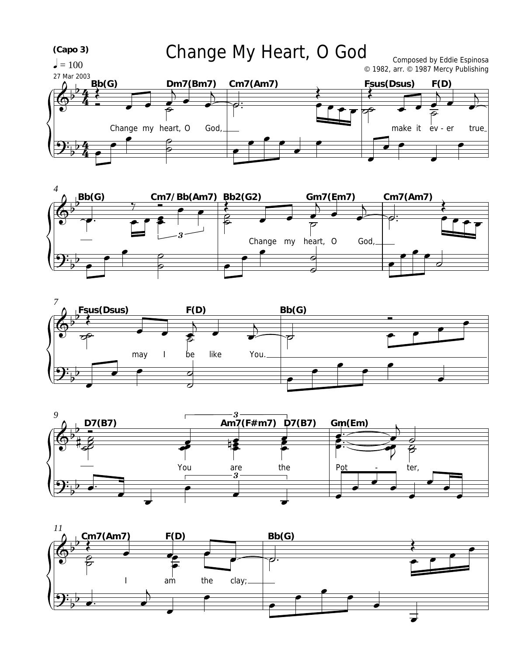